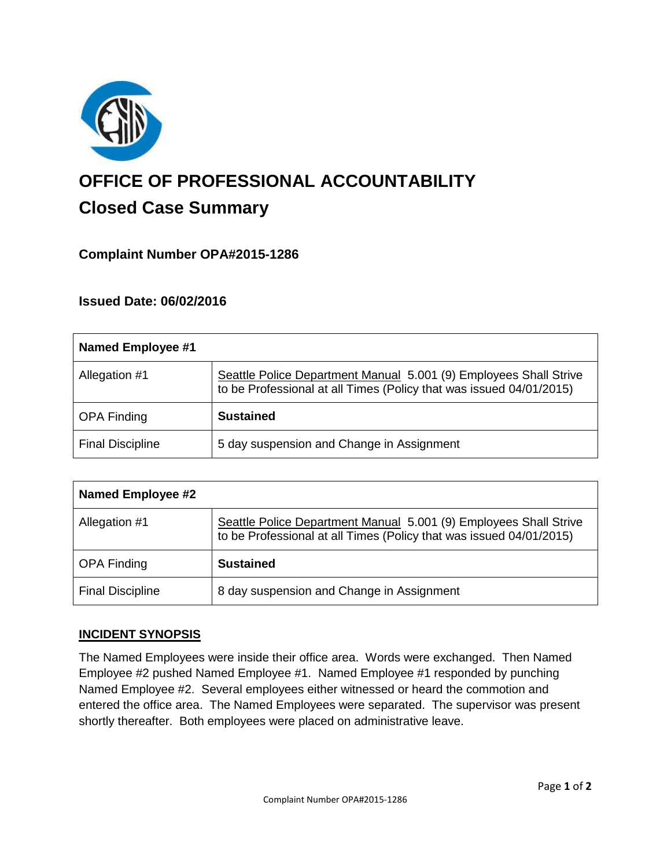

# **OFFICE OF PROFESSIONAL ACCOUNTABILITY Closed Case Summary**

# **Complaint Number OPA#2015-1286**

## **Issued Date: 06/02/2016**

| Named Employee #1       |                                                                                                                                          |
|-------------------------|------------------------------------------------------------------------------------------------------------------------------------------|
| Allegation #1           | Seattle Police Department Manual 5.001 (9) Employees Shall Strive<br>to be Professional at all Times (Policy that was issued 04/01/2015) |
| <b>OPA Finding</b>      | <b>Sustained</b>                                                                                                                         |
| <b>Final Discipline</b> | 5 day suspension and Change in Assignment                                                                                                |

| <b>Named Employee #2</b> |                                                                                                                                          |
|--------------------------|------------------------------------------------------------------------------------------------------------------------------------------|
| Allegation #1            | Seattle Police Department Manual 5.001 (9) Employees Shall Strive<br>to be Professional at all Times (Policy that was issued 04/01/2015) |
| <b>OPA Finding</b>       | <b>Sustained</b>                                                                                                                         |
| <b>Final Discipline</b>  | 8 day suspension and Change in Assignment                                                                                                |

### **INCIDENT SYNOPSIS**

The Named Employees were inside their office area. Words were exchanged. Then Named Employee #2 pushed Named Employee #1. Named Employee #1 responded by punching Named Employee #2. Several employees either witnessed or heard the commotion and entered the office area. The Named Employees were separated. The supervisor was present shortly thereafter. Both employees were placed on administrative leave.